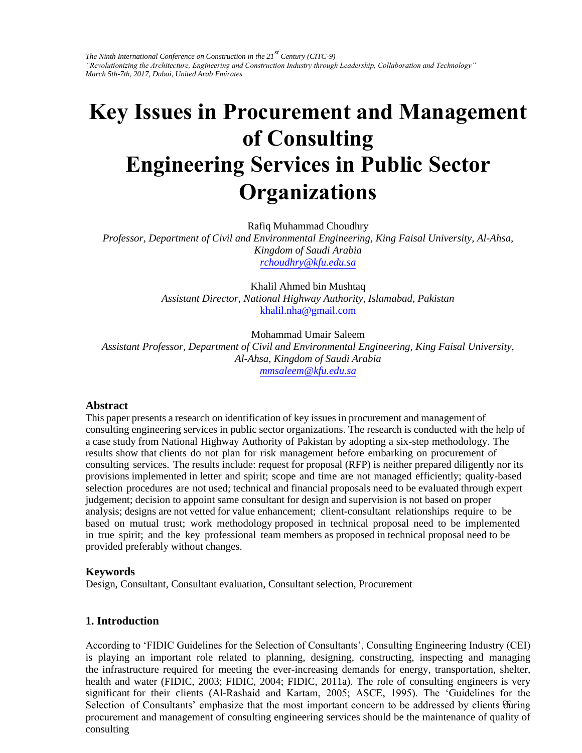*The Ninth International Conference on Construction in the 21st Century (CITC-9) "Revolutionizing the Architecture, Engineering and Construction Industry through Leadership, Collaboration and Technology" March 5th-7th, 2017, Dubai, United Arab Emirates* 

# **Key Issues in Procurement and Management of Consulting Engineering Services in Public Sector O[rganization](mailto:rchoudhry@kfu.edu.sa)s**

Rafiq Muhammad Choudhry

*Professor, Department of Civil and [Environmental Engineeri](mailto:khalil.nha@gmail.com)ng, King Faisal University, Al-Ahsa, Kingdom of Saudi Arabia rchoudhry@kfu.edu.sa*

> Khalil Ahmed bin Mushtaq *Assistant Director, Na[tional Highway Authorit](mailto:mmsaleem@kfu.edu.sa)y, Islamabad, Pakistan*  khalil.nha@gmail.com

Mohammad Umair Saleem *Assistant Professor, Department of Civil and Environmental Engineering, King Faisal University, Al-Ahsa, Kingdom of Saudi Arabia mmsaleem@kfu.edu.sa*

#### **Abstract**

This paper presents a research on identification of key issues in procurement and management of consulting engineering services in public sector organizations. The research is conducted with the help of a case study from National Highway Authority of Pakistan by adopting a six-step methodology. The results show that clients do not plan for risk management before embarking on procurement of consulting services. The results include: request for proposal (RFP) is neither prepared diligently nor its provisions implemented in letter and spirit; scope and time are not managed efficiently; quality-based selection procedures are not used; technical and financial proposals need to be evaluated through expert judgement; decision to appoint same consultant for design and supervision is not based on proper analysis; designs are not vetted for value enhancement; client-consultant relationships require to be based on mutual trust; work methodology proposed in technical proposal need to be implemented in true spirit; and the key professional team members as proposed in technical proposal need to be provided preferably without changes.

#### **Keywords**

Design, Consultant, Consultant evaluation, Consultant selection, Procurement

# **1. Introduction**

Selection of Consultants' emphasize that the most important concern to be addressed by clients turing procurement and management of consulting engineering services should be the maintenance of quality of According to 'FIDIC Guidelines for the Selection of Consultants', Consulting Engineering Industry (CEI) is playing an important role related to planning, designing, constructing, inspecting and managing the infrastructure required for meeting the ever-increasing demands for energy, transportation, shelter, health and water (FIDIC, 2003; FIDIC, 2004; FIDIC, 2011a). The role of consulting engineers is very significant for their clients (Al-Rashaid and Kartam, 2005; ASCE, 1995). The 'Guidelines for the consulting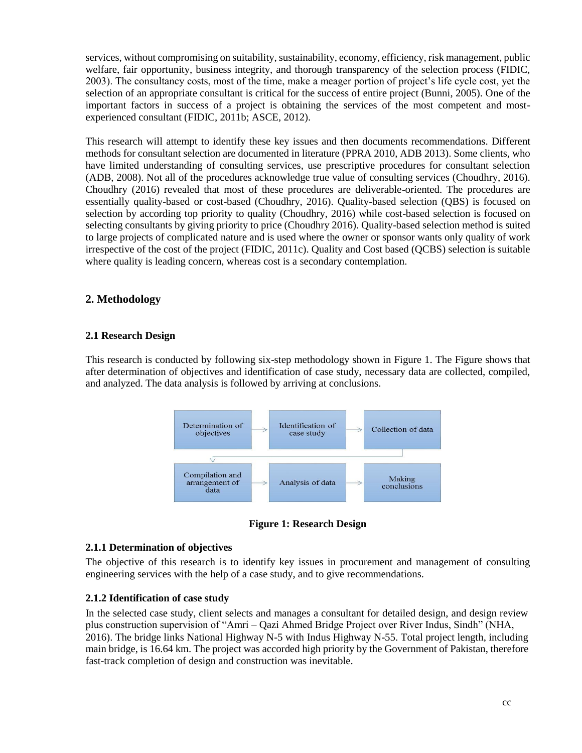services, without compromising on suitability, sustainability, economy, efficiency, risk management, public welfare, fair opportunity, business integrity, and thorough transparency of the selection process (FIDIC, 2003). The consultancy costs, most of the time, make a meager portion of project's life cycle cost, yet the selection of an appropriate consultant is critical for the success of entire project (Bunni, 2005). One of the important factors in success of a project is obtaining the services of the most competent and mostexperienced consultant (FIDIC, 2011b; ASCE, 2012).

This research will attempt to identify these key issues and then documents recommendations. Different methods for consultant selection are documented in literature (PPRA 2010, ADB 2013). Some clients, who have limited understanding of consulting services, use prescriptive procedures for consultant selection (ADB, 2008). Not all of the procedures acknowledge true value of consulting services (Choudhry, 2016). Choudhry (2016) revealed that most of these procedures are deliverable-oriented. The procedures are essentially quality-based or cost-based (Choudhry, 2016). Quality-based selection (QBS) is focused on selection by according top priority to quality (Choudhry, 2016) while cost-based selection is focused on selecting consultants by giving priority to price (Choudhry 2016). Quality-based selection method is suited to large projects of complicated nature and is used where the owner or sponsor wants only quality of work irrespective of the cost of the project (FIDIC, 2011c). Quality and Cost based (QCBS) selection is suitable where quality is leading concern, whereas cost is a secondary contemplation.

# **2. Methodology**

## **2.1 Research Design**

This research is conducted by following six-step methodology shown in Figure 1. The Figure shows that after determination of objectives and identification of case study, necessary data are collected, compiled, and analyzed. The data analysis is followed by arriving at conclusions.



**Figure 1: Research Design**

#### **2.1.1 Determination of objectives**

The objective of this research is to identify key issues in procurement and management of consulting engineering services with the help of a case study, and to give recommendations.

# **2.1.2 Identification of case study**

In the selected case study, client selects and manages a consultant for detailed design, and design review plus construction supervision of "Amri – Qazi Ahmed Bridge Project over River Indus, Sindh" (NHA, 2016). The bridge links National Highway N-5 with Indus Highway N-55. Total project length, including main bridge, is 16.64 km. The project was accorded high priority by the Government of Pakistan, therefore fast-track completion of design and construction was inevitable.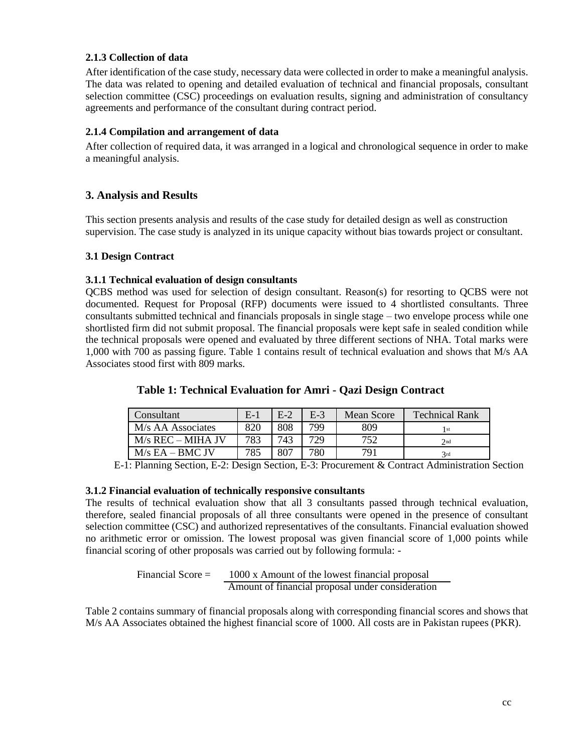## **2.1.3 Collection of data**

After identification of the case study, necessary data were collected in order to make a meaningful analysis. The data was related to opening and detailed evaluation of technical and financial proposals, consultant selection committee (CSC) proceedings on evaluation results, signing and administration of consultancy agreements and performance of the consultant during contract period.

#### **2.1.4 Compilation and arrangement of data**

After collection of required data, it was arranged in a logical and chronological sequence in order to make a meaningful analysis.

# **3. Analysis and Results**

This section presents analysis and results of the case study for detailed design as well as construction supervision. The case study is analyzed in its unique capacity without bias towards project or consultant.

## **3.1 Design Contract**

## **3.1.1 Technical evaluation of design consultants**

QCBS method was used for selection of design consultant. Reason(s) for resorting to QCBS were not documented. Request for Proposal (RFP) documents were issued to 4 shortlisted consultants. Three consultants submitted technical and financials proposals in single stage – two envelope process while one shortlisted firm did not submit proposal. The financial proposals were kept safe in sealed condition while the technical proposals were opened and evaluated by three different sections of NHA. Total marks were 1,000 with 700 as passing figure. Table 1 contains result of technical evaluation and shows that M/s AA Associates stood first with 809 marks.

| Consultant          | $E-1$ | $E-2$ | $E-3$ | Mean Score | <b>Technical Rank</b> |
|---------------------|-------|-------|-------|------------|-----------------------|
| M/s AA Associates   | 820   | 808   | 799   | 809        | l st                  |
| $M/s$ REC – MIHA JV | 783   | 743   | 729   | 752        | 2nd                   |
| $M/s$ EA – BMC JV   | 785   | 807   | 780   | 791        | 3rd                   |

# **Table 1: Technical Evaluation for Amri - Qazi Design Contract**

E-1: Planning Section, E-2: Design Section, E-3: Procurement & Contract Administration Section

#### **3.1.2 Financial evaluation of technically responsive consultants**

The results of technical evaluation show that all 3 consultants passed through technical evaluation, therefore, sealed financial proposals of all three consultants were opened in the presence of consultant selection committee (CSC) and authorized representatives of the consultants. Financial evaluation showed no arithmetic error or omission. The lowest proposal was given financial score of 1,000 points while financial scoring of other proposals was carried out by following formula: -

> Financial Score = 1000 x Amount of the lowest financial proposal Amount of financial proposal under consideration

Table 2 contains summary of financial proposals along with corresponding financial scores and shows that M/s AA Associates obtained the highest financial score of 1000. All costs are in Pakistan rupees (PKR).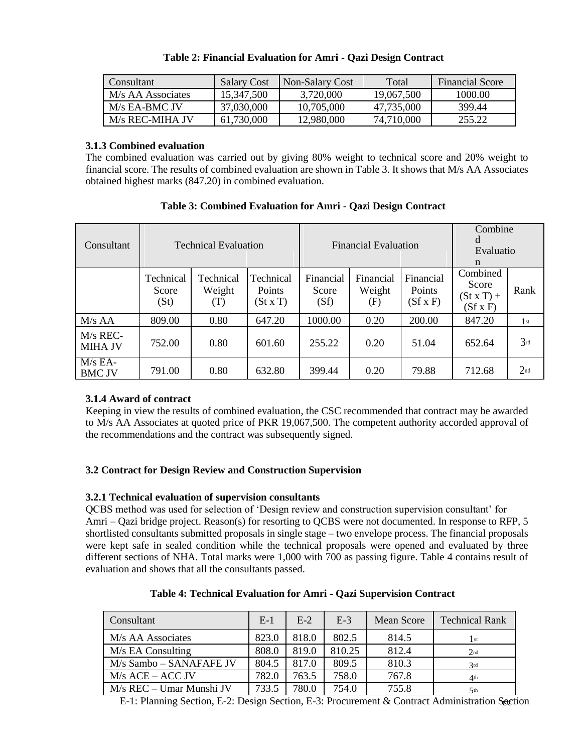| Consultant        | <b>Salary Cost</b> | Non-Salary Cost | Total      | Financial Score |
|-------------------|--------------------|-----------------|------------|-----------------|
| M/s AA Associates | 15,347,500         | 3,720,000       | 19,067,500 | 1000.00         |
| $M/s$ EA-BMC JV   | 37,030,000         | 10,705,000      | 47,735,000 | 399.44          |
| M/s REC-MIHA JV   | 61,730,000         | 12,980,000      | 74.710.000 | 255.22          |

#### **Table 2: Financial Evaluation for Amri - Qazi Design Contract**

## **3.1.3 Combined evaluation**

The combined evaluation was carried out by giving 80% weight to technical score and 20% weight to financial score. The results of combined evaluation are shown in Table 3. It shows that M/s AA Associates obtained highest marks (847.20) in combined evaluation.

| Consultant                   | <b>Technical Evaluation</b> |                            |                               |                            | <b>Financial Evaluation</b> | Combine<br>d<br>Evaluatio<br>$\mathbf n$ |                                                    |                 |
|------------------------------|-----------------------------|----------------------------|-------------------------------|----------------------------|-----------------------------|------------------------------------------|----------------------------------------------------|-----------------|
|                              | Technical<br>Score<br>(St)  | Technical<br>Weight<br>(T) | Technical<br>Points<br>(StxT) | Financial<br>Score<br>(Sf) | Financial<br>Weight<br>(F)  | Financial<br>Points<br>$(Sf \times F)$   | Combined<br>Score<br>$(StxT) +$<br>$(Sf \times F)$ | Rank            |
| $M/s$ AA                     | 809.00                      | 0.80                       | 647.20                        | 1000.00                    | 0.20                        | 200.00                                   | 847.20                                             | 1st             |
| $M/s$ REC-<br><b>MIHA JV</b> | 752.00                      | 0.80                       | 601.60                        | 255.22                     | 0.20                        | 51.04                                    | 652.64                                             | 3rd             |
| $M/s$ EA-<br><b>BMC JV</b>   | 791.00                      | 0.80                       | 632.80                        | 399.44                     | 0.20                        | 79.88                                    | 712.68                                             | 2 <sub>nd</sub> |

# **Table 3: Combined Evaluation for Amri - Qazi Design Contract**

# **3.1.4 Award of contract**

Keeping in view the results of combined evaluation, the CSC recommended that contract may be awarded to M/s AA Associates at quoted price of PKR 19,067,500. The competent authority accorded approval of the recommendations and the contract was subsequently signed.

# **3.2 Contract for Design Review and Construction Supervision**

# **3.2.1 Technical evaluation of supervision consultants**

QCBS method was used for selection of 'Design review and construction supervision consultant' for Amri – Qazi bridge project. Reason(s) for resorting to QCBS were not documented. In response to RFP, 5 shortlisted consultants submitted proposals in single stage – two envelope process. The financial proposals were kept safe in sealed condition while the technical proposals were opened and evaluated by three different sections of NHA. Total marks were 1,000 with 700 as passing figure. Table 4 contains result of evaluation and shows that all the consultants passed.

|  |  | Table 4: Technical Evaluation for Amri - Qazi Supervision Contract |  |
|--|--|--------------------------------------------------------------------|--|
|  |  |                                                                    |  |

| Consultant               | $E-1$ | $E-2$ | $E-3$  | Mean Score | <b>Technical Rank</b> |
|--------------------------|-------|-------|--------|------------|-----------------------|
| M/s AA Associates        | 823.0 | 818.0 | 802.5  | 814.5      | $\vert$ st            |
| M/s EA Consulting        | 808.0 | 819.0 | 810.25 | 812.4      | 2 <sub>nd</sub>       |
| M/s Sambo – SANAFAFE JV  | 804.5 | 817.0 | 809.5  | 810.3      | 3rd                   |
| $M/s$ ACE – ACC JV       | 782.0 | 763.5 | 758.0  | 767.8      | 4 <sup>th</sup>       |
| M/s REC – Umar Munshi JV | 733.5 | 780.0 | 754.0  | 755.8      | 5 <sup>th</sup>       |

E-1: Planning Section, E-2: Design Section, E-3: Procurement & Contract Administration Section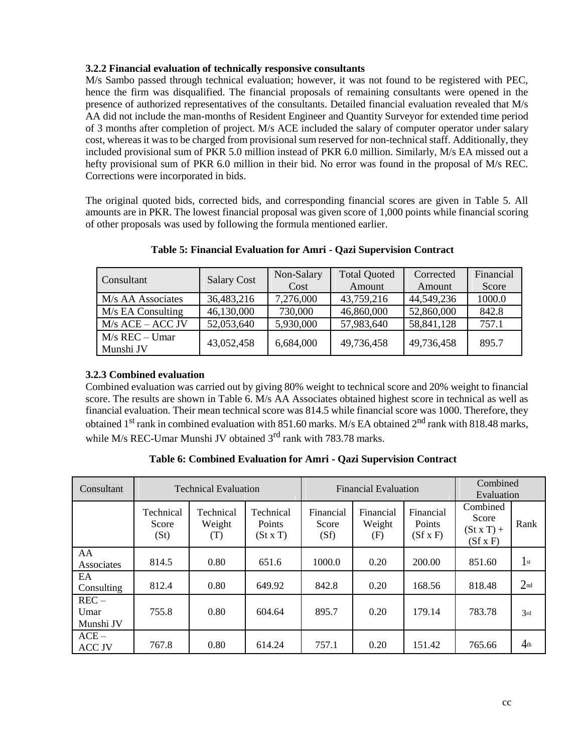## **3.2.2 Financial evaluation of technically responsive consultants**

M/s Sambo passed through technical evaluation; however, it was not found to be registered with PEC, hence the firm was disqualified. The financial proposals of remaining consultants were opened in the presence of authorized representatives of the consultants. Detailed financial evaluation revealed that M/s AA did not include the man-months of Resident Engineer and Quantity Surveyor for extended time period of 3 months after completion of project. M/s ACE included the salary of computer operator under salary cost, whereas it was to be charged from provisional sum reserved for non-technical staff. Additionally, they included provisional sum of PKR 5.0 million instead of PKR 6.0 million. Similarly, M/s EA missed out a hefty provisional sum of PKR 6.0 million in their bid. No error was found in the proposal of M/s REC. Corrections were incorporated in bids.

The original quoted bids, corrected bids, and corresponding financial scores are given in Table 5. All amounts are in PKR. The lowest financial proposal was given score of 1,000 points while financial scoring of other proposals was used by following the formula mentioned earlier.

| Consultant                    | <b>Salary Cost</b> | Non-Salary     | <b>Total Quoted</b> | Corrected  | Financial |
|-------------------------------|--------------------|----------------|---------------------|------------|-----------|
|                               |                    | Cost<br>Amount |                     | Amount     | Score     |
| M/s AA Associates             | 36,483,216         | 7,276,000      | 43,759,216          | 44,549,236 | 1000.0    |
| $M/s$ EA Consulting           | 46,130,000         | 730,000        | 46,860,000          | 52,860,000 | 842.8     |
| $M/s$ ACE – ACC JV            | 52,053,640         | 5,930,000      | 57,983,640          | 58,841,128 | 757.1     |
| $M/s$ REC – Umar<br>Munshi JV | 43,052,458         | 6,684,000      | 49,736,458          | 49,736,458 | 895.7     |

**Table 5: Financial Evaluation for Amri - Qazi Supervision Contract**

# **3.2.3 Combined evaluation**

Combined evaluation was carried out by giving 80% weight to technical score and 20% weight to financial score. The results are shown in Table 6. M/s AA Associates obtained highest score in technical as well as financial evaluation. Their mean technical score was 814.5 while financial score was 1000. Therefore, they obtained 1<sup>st</sup> rank in combined evaluation with 851.60 marks. M/s EA obtained 2<sup>nd</sup> rank with 818.48 marks, while M/s REC-Umar Munshi JV obtained  $3<sup>rd</sup>$  rank with 783.78 marks.

| Consultant                   | <b>Technical Evaluation</b> |                            |                               |                            | <b>Financial Evaluation</b> | Combined<br>Evaluation                 |                                                    |                 |
|------------------------------|-----------------------------|----------------------------|-------------------------------|----------------------------|-----------------------------|----------------------------------------|----------------------------------------------------|-----------------|
|                              | Technical<br>Score<br>(St)  | Technical<br>Weight<br>(T) | Technical<br>Points<br>(StxT) | Financial<br>Score<br>(Sf) | Financial<br>Weight<br>(F)  | Financial<br>Points<br>$(Sf \times F)$ | Combined<br>Score<br>$(StxT) +$<br>$(Sf \times F)$ | Rank            |
| AA<br>Associates             | 814.5                       | 0.80                       | 651.6                         | 1000.0                     | 0.20                        | 200.00                                 | 851.60                                             | $1$ st          |
| EA<br>Consulting             | 812.4                       | 0.80                       | 649.92                        | 842.8                      | 0.20                        | 168.56                                 | 818.48                                             | 2 <sub>nd</sub> |
| $REC -$<br>Umar<br>Munshi JV | 755.8                       | 0.80                       | 604.64                        | 895.7                      | 0.20                        | 179.14                                 | 783.78                                             | 3rd             |
| $ACE -$<br><b>ACC JV</b>     | 767.8                       | 0.80                       | 614.24                        | 757.1                      | 0.20                        | 151.42                                 | 765.66                                             | 4 <sub>th</sub> |

**Table 6: Combined Evaluation for Amri - Qazi Supervision Contract**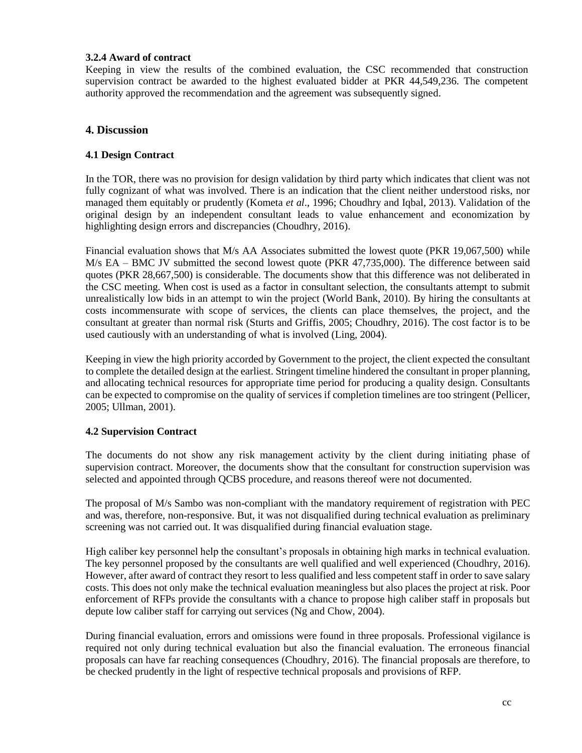#### **3.2.4 Award of contract**

Keeping in view the results of the combined evaluation, the CSC recommended that construction supervision contract be awarded to the highest evaluated bidder at PKR 44,549,236. The competent authority approved the recommendation and the agreement was subsequently signed.

## **4. Discussion**

#### **4.1 Design Contract**

In the TOR, there was no provision for design validation by third party which indicates that client was not fully cognizant of what was involved. There is an indication that the client neither understood risks, nor managed them equitably or prudently (Kometa *et al*., 1996; Choudhry and Iqbal, 2013). Validation of the original design by an independent consultant leads to value enhancement and economization by highlighting design errors and discrepancies (Choudhry, 2016).

Financial evaluation shows that M/s AA Associates submitted the lowest quote (PKR 19,067,500) while M/s EA – BMC JV submitted the second lowest quote (PKR 47,735,000). The difference between said quotes (PKR 28,667,500) is considerable. The documents show that this difference was not deliberated in the CSC meeting. When cost is used as a factor in consultant selection, the consultants attempt to submit unrealistically low bids in an attempt to win the project (World Bank, 2010). By hiring the consultants at costs incommensurate with scope of services, the clients can place themselves, the project, and the consultant at greater than normal risk (Sturts and Griffis, 2005; Choudhry, 2016). The cost factor is to be used cautiously with an understanding of what is involved (Ling, 2004).

Keeping in view the high priority accorded by Government to the project, the client expected the consultant to complete the detailed design at the earliest. Stringent timeline hindered the consultant in proper planning, and allocating technical resources for appropriate time period for producing a quality design. Consultants can be expected to compromise on the quality of services if completion timelines are too stringent (Pellicer, 2005; Ullman, 2001).

#### **4.2 Supervision Contract**

The documents do not show any risk management activity by the client during initiating phase of supervision contract. Moreover, the documents show that the consultant for construction supervision was selected and appointed through QCBS procedure, and reasons thereof were not documented.

The proposal of M/s Sambo was non-compliant with the mandatory requirement of registration with PEC and was, therefore, non-responsive. But, it was not disqualified during technical evaluation as preliminary screening was not carried out. It was disqualified during financial evaluation stage.

High caliber key personnel help the consultant's proposals in obtaining high marks in technical evaluation. The key personnel proposed by the consultants are well qualified and well experienced (Choudhry, 2016). However, after award of contract they resort to less qualified and less competent staff in order to save salary costs. This does not only make the technical evaluation meaningless but also places the project at risk. Poor enforcement of RFPs provide the consultants with a chance to propose high caliber staff in proposals but depute low caliber staff for carrying out services (Ng and Chow, 2004).

During financial evaluation, errors and omissions were found in three proposals. Professional vigilance is required not only during technical evaluation but also the financial evaluation. The erroneous financial proposals can have far reaching consequences (Choudhry, 2016). The financial proposals are therefore, to be checked prudently in the light of respective technical proposals and provisions of RFP.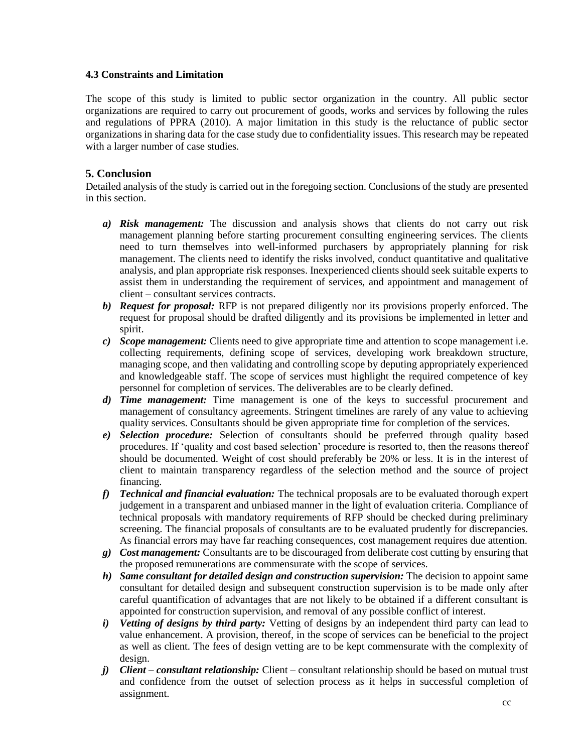#### **4.3 Constraints and Limitation**

The scope of this study is limited to public sector organization in the country. All public sector organizations are required to carry out procurement of goods, works and services by following the rules and regulations of PPRA (2010). A major limitation in this study is the reluctance of public sector organizations in sharing data for the case study due to confidentiality issues. This research may be repeated with a larger number of case studies.

# **5. Conclusion**

Detailed analysis of the study is carried out in the foregoing section. Conclusions of the study are presented in this section.

- *a) Risk management:* The discussion and analysis shows that clients do not carry out risk management planning before starting procurement consulting engineering services. The clients need to turn themselves into well-informed purchasers by appropriately planning for risk management. The clients need to identify the risks involved, conduct quantitative and qualitative analysis, and plan appropriate risk responses. Inexperienced clients should seek suitable experts to assist them in understanding the requirement of services, and appointment and management of client – consultant services contracts.
- *b) Request for proposal:* RFP is not prepared diligently nor its provisions properly enforced. The request for proposal should be drafted diligently and its provisions be implemented in letter and spirit.
- *c) Scope management:* Clients need to give appropriate time and attention to scope management i.e. collecting requirements, defining scope of services, developing work breakdown structure, managing scope, and then validating and controlling scope by deputing appropriately experienced and knowledgeable staff. The scope of services must highlight the required competence of key personnel for completion of services. The deliverables are to be clearly defined.
- *d) Time management:* Time management is one of the keys to successful procurement and management of consultancy agreements. Stringent timelines are rarely of any value to achieving quality services. Consultants should be given appropriate time for completion of the services.
- *e) Selection procedure:* Selection of consultants should be preferred through quality based procedures. If 'quality and cost based selection' procedure is resorted to, then the reasons thereof should be documented. Weight of cost should preferably be 20% or less. It is in the interest of client to maintain transparency regardless of the selection method and the source of project financing.
- *f) Technical and financial evaluation:* The technical proposals are to be evaluated thorough expert judgement in a transparent and unbiased manner in the light of evaluation criteria. Compliance of technical proposals with mandatory requirements of RFP should be checked during preliminary screening. The financial proposals of consultants are to be evaluated prudently for discrepancies. As financial errors may have far reaching consequences, cost management requires due attention.
- *g) Cost management:* Consultants are to be discouraged from deliberate cost cutting by ensuring that the proposed remunerations are commensurate with the scope of services.
- *h) Same consultant for detailed design and construction supervision:* The decision to appoint same consultant for detailed design and subsequent construction supervision is to be made only after careful quantification of advantages that are not likely to be obtained if a different consultant is appointed for construction supervision, and removal of any possible conflict of interest.
- *i) Vetting of designs by third party:* Vetting of designs by an independent third party can lead to value enhancement. A provision, thereof, in the scope of services can be beneficial to the project as well as client. The fees of design vetting are to be kept commensurate with the complexity of design.
- *j) Client – consultant relationship:* Client consultant relationship should be based on mutual trust and confidence from the outset of selection process as it helps in successful completion of assignment.